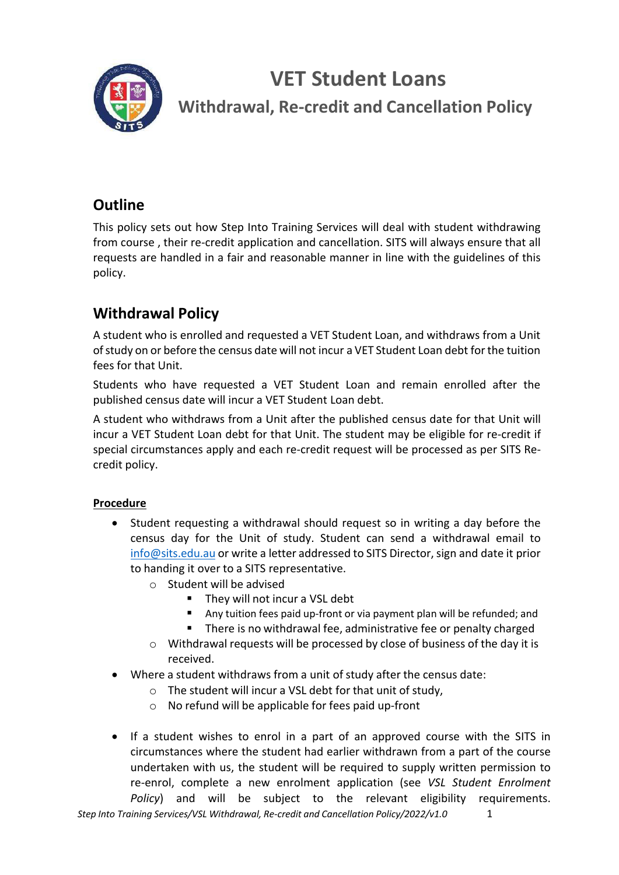

**Withdrawal, Re-credit and Cancellation Policy**

## **Outline**

This policy sets out how Step Into Training Services will deal with student withdrawing from course , their re-credit application and cancellation. SITS will always ensure that all requests are handled in a fair and reasonable manner in line with the guidelines of this policy.

## **Withdrawal Policy**

A student who is enrolled and requested a VET Student Loan, and withdraws from a Unit ofstudy on or before the census date will not incur a VET Student Loan debt forthe tuition fees for that Unit.

Students who have requested a VET Student Loan and remain enrolled after the published census date will incur a VET Student Loan debt.

A student who withdraws from a Unit after the published census date for that Unit will incur a VET Student Loan debt for that Unit. The student may be eligible for re-credit if special circumstances apply and each re-credit request will be processed as per SITS Recredit policy.

#### **Procedure**

- Student requesting a withdrawal should request so in writing a day before the census day for the Unit of study. Student can send a withdrawal email to  $info@sits.edu.au$  or write a letter addressed to SITS Director, sign and date it prior to handing it over to a SITS representative.
	- o Student will be advised
		- They will not incur a VSL debt
		- Any tuition fees paid up-front or via payment plan will be refunded; and
		- There is no withdrawal fee, administrative fee or penalty charged
	- $\circ$  Withdrawal requests will be processed by close of business of the day it is received.
- Where a student withdraws from a unit of study after the census date:
	- o The student will incur a VSL debt for that unit of study,
	- o No refund will be applicable for fees paid up-front
- If a student wishes to enrol in a part of an approved course with the SITS in circumstances where the student had earlier withdrawn from a part of the course undertaken with us, the student will be required to supply written permission to re-enrol, complete a new enrolment application (see *VSL Student Enrolment Policy*) and will be subject to the relevant eligibility requirements.

*Step Into Training Services/VSL Withdrawal, Re-credit and Cancellation Policy/2022/v1.0* 1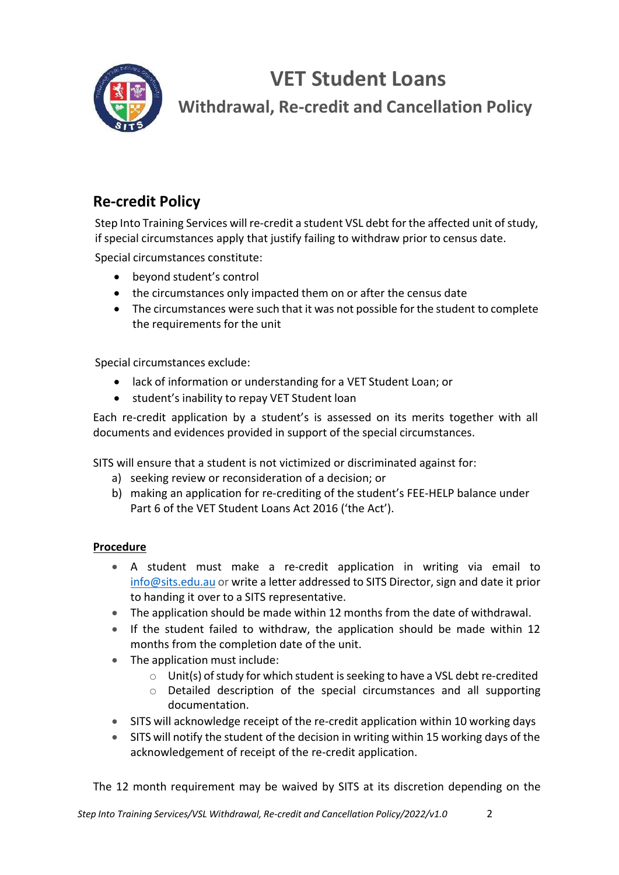

**Withdrawal, Re-credit and Cancellation Policy**

## **Re-credit Policy**

Step Into Training Services will re-credit a student VSL debt for the affected unit of study, if special circumstances apply that justify failing to withdraw prior to census date.

Special circumstances constitute:

- beyond student's control
- the circumstances only impacted them on or after the census date
- The circumstances were such that it was not possible for the student to complete the requirements for the unit

Special circumstances exclude:

- lack of information or understanding for a VET Student Loan; or
- student's inability to repay VET Student loan

Each re-credit application by a student's is assessed on its merits together with all documents and evidences provided in support of the special circumstances.

SITS will ensure that a student is not victimized or discriminated against for:

- a) seeking review or reconsideration of a decision; or
- b) making an application for re-crediting of the student's FEE-HELP balance under Part 6 of the VET Student Loans Act 2016 ('the Act').

#### **Procedure**

- A student must make a re-credit application in writing via email to info@sits.edu.au or write a letter addressed to SITS Director, sign and date it prior to handing it over to a SITS representative.
- The application should be made within 12 months from the date of withdrawal.
- If the student failed to withdraw, the application should be made within 12 months from the completion date of the unit.
- The application must include:
	- $\circ$  Unit(s) of study for which student is seeking to have a VSL debt re-credited
	- $\circ$  Detailed description of the special circumstances and all supporting documentation.
- SITS will acknowledge receipt of the re-credit application within 10 working days
- SITS will notify the student of the decision in writing within 15 working days of the acknowledgement of receipt of the re-credit application.

The 12 month requirement may be waived by SITS at its discretion depending on the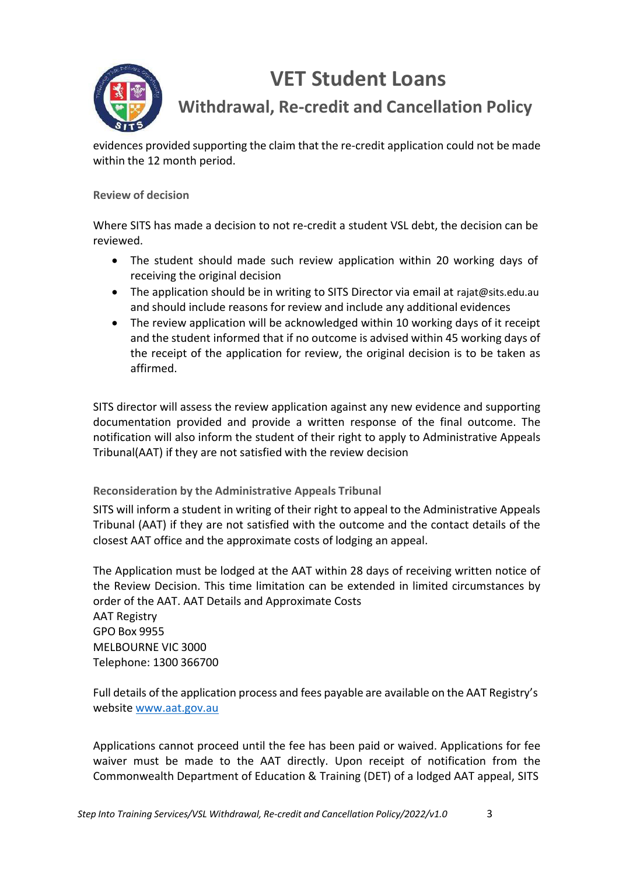

**Withdrawal, Re-credit and Cancellation Policy**

evidences provided supporting the claim that the re-credit application could not be made within the 12 month period.

#### **Review of decision**

Where SITS has made a decision to not re-credit a student VSL debt, the decision can be reviewed.

- The student should made such review application within 20 working days of receiving the original decision
- The application should be in writing to SITS Director via email at rajat@sits.edu.au and should include reasons for review and include any additional evidences
- The review application will be acknowledged within 10 working days of it receipt and the student informed that if no outcome is advised within 45 working days of the receipt of the application for review, the original decision is to be taken as affirmed.

SITS director will assess the review application against any new evidence and supporting documentation provided and provide a written response of the final outcome. The notification will also inform the student of their right to apply to Administrative Appeals Tribunal(AAT) if they are not satisfied with the review decision

**Reconsideration by the Administrative Appeals Tribunal**

SITS will inform a student in writing of their right to appeal to the Administrative Appeals Tribunal (AAT) if they are not satisfied with the outcome and the contact details of the closest AAT office and the approximate costs of lodging an appeal.

The Application must be lodged at the AAT within 28 days of receiving written notice of the Review Decision. This time limitation can be extended in limited circumstances by order of the AAT. AAT Details and Approximate Costs AAT Registry GPO Box 9955 MELBOURNE VIC 3000 Telephone: 1300 366700

Full details of the application process and fees payable are available on the AAT Registry's website www.aat.gov.au

Applications cannot proceed until the fee has been paid or waived. Applications for fee waiver must be made to the AAT directly. Upon receipt of notification from the Commonwealth Department of Education & Training (DET) of a lodged AAT appeal, SITS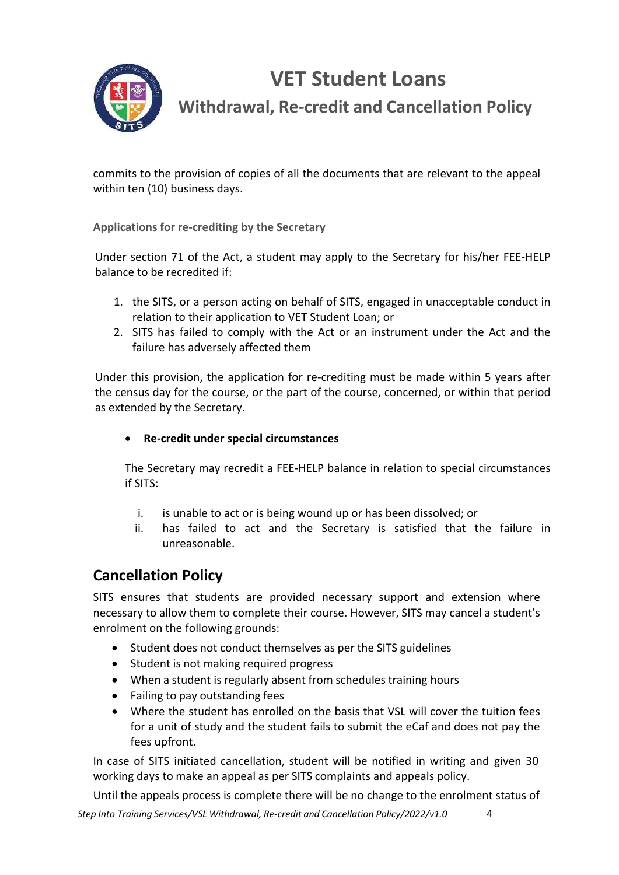

**Withdrawal, Re-credit and Cancellation Policy**

commits to the provision of copies of all the documents that are relevant to the appeal within ten (10) business days.

**Applications for re-crediting by the Secretary**

Under section 71 of the Act, a student may apply to the Secretary for his/her FEE-HELP balance to be recredited if:

- 1. the SITS, or a person acting on behalf of SITS, engaged in unacceptable conduct in relation to their application to VET Student Loan; or
- 2. SITS has failed to comply with the Act or an instrument under the Act and the failure has adversely affected them

Under this provision, the application for re-crediting must be made within 5 years after the census day for the course, or the part of the course, concerned, or within that period as extended by the Secretary.

#### • **Re-credit under special circumstances**

The Secretary may recredit a FEE-HELP balance in relation to special circumstances if SITS:

- i. is unable to act or is being wound up or has been dissolved; or
- ii. has failed to act and the Secretary is satisfied that the failure in unreasonable.

### **Cancellation Policy**

SITS ensures that students are provided necessary support and extension where necessary to allow them to complete their course. However, SITS may cancel a student's enrolment on the following grounds:

- Student does not conduct themselves as per the SITS guidelines
- Student is not making required progress
- When a student is regularly absent from schedules training hours
- Failing to pay outstanding fees
- Where the student has enrolled on the basis that VSL will cover the tuition fees for a unit of study and the student fails to submit the eCaf and does not pay the fees upfront.

In case of SITS initiated cancellation, student will be notified in writing and given 30 working days to make an appeal as per SITS complaints and appeals policy.

Until the appeals process is complete there will be no change to the enrolment status of

*Step Into Training Services/VSL Withdrawal, Re-credit and Cancellation Policy/2022/v1.0* 4